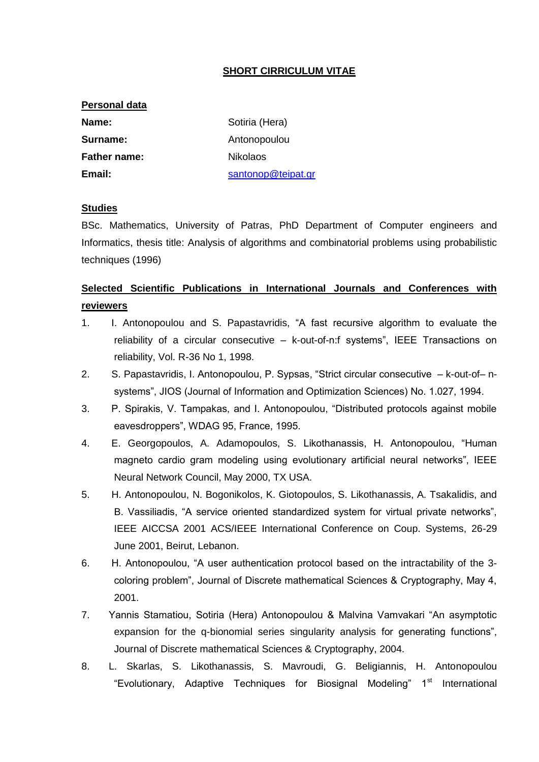### **SHORT CIRRICULUM VITAE**

| <b>Personal data</b>    |                    |  |  |  |
|-------------------------|--------------------|--|--|--|
| Sotiria (Hera)<br>Name: |                    |  |  |  |
| Surname:                | Antonopoulou       |  |  |  |
| <b>Father name:</b>     | <b>Nikolaos</b>    |  |  |  |
| Email:                  | santonop@teipat.gr |  |  |  |

#### **Studies**

BSc. Mathematics, University of Patras, PhD Department of Computer engineers and Informatics, thesis title: Analysis of algorithms and combinatorial problems using probabilistic techniques (1996)

# **Selected Scientific Publications in International Journals and Conferences with reviewers**

- 1. I. Antonopoulou and S. Papastavridis, "A fast recursive algorithm to evaluate the reliability of a circular consecutive – k-out-of-n:f systems", IEEE Transactions on reliability, Vol. R-36 No 1, 1998.
- 2. S. Papastavridis, I. Antonopoulou, P. Sypsas, "Strict circular consecutive k-out-of– nsystems", JIOS (Journal of Information and Optimization Sciences) No. 1.027, 1994.
- 3. P. Spirakis, V. Tampakas, and I. Antonopoulou, "Distributed protocols against mobile eavesdroppers", WDAG 95, France, 1995.
- 4. E. Georgopoulos, A. Adamopoulos, S. Likothanassis, H. Antonopoulou, "Human magneto cardio gram modeling using evolutionary artificial neural networks", IEEE Neural Network Council, May 2000, TX USA.
- 5. H. Antonopoulou, N. Bogonikolos, K. Giotopoulos, S. Likothanassis, A. Tsakalidis, and B. Vassiliadis, "A service oriented standardized system for virtual private networks", IEEE AICCSA 2001 ACS/IEEE International Conference on Coup. Systems, 26-29 June 2001, Beirut, Lebanon.
- 6. H. Antonopoulou, "A user authentication protocol based on the intractability of the 3 coloring problem", Journal of Discrete mathematical Sciences & Cryptography, May 4, 2001.
- 7. Yannis Stamatiou, Sotiria (Hera) Antonopoulou & Malvina Vamvakari "An asymptotic expansion for the q-bionomial series singularity analysis for generating functions", Journal of Discrete mathematical Sciences & Cryptography, 2004.
- 8. L. Skarlas, S. Likothanassis, S. Mavroudi, G. Beligiannis, H. Antonopoulou "Evolutionary, Adaptive Techniques for Biosignal Modeling" 1<sup>st</sup> International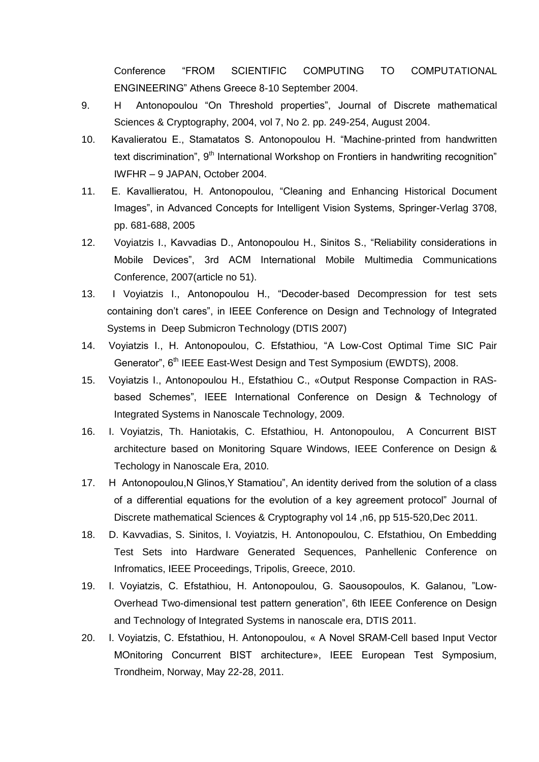Conference "FROM SCIENTIFIC COMPUTING TO COMPUTATIONAL ENGINEERING" Athens Greece 8-10 September 2004.

- 9. H Antonopoulou "On Threshold properties", Journal of Discrete mathematical Sciences & Cryptography, 2004, vol 7, No 2. pp. 249-254, August 2004.
- 10. Kavalieratou E., Stamatatos S. Antonopoulou H. "Machine-printed from handwritten text discrimination", 9<sup>th</sup> International Workshop on Frontiers in handwriting recognition" IWFHR – 9 JAPAN, October 2004.
- 11. E. Kavallieratou, H. Antonopoulou, "Cleaning and Enhancing Historical Document Images", in Advanced Concepts for Intelligent Vision Systems, Springer-Verlag 3708, pp. 681-688, 2005
- 12. Voyiatzis I., Kavvadias D., Antonopoulou H., Sinitos S., "Reliability considerations in Mobile Devices", 3rd ACM International Mobile Multimedia Communications Conference, 2007(article no 51).
- 13. I Voyiatzis I., Antonopoulou H., "Decoder-based Decompression for test sets containing don't cares", in IEEE Conference on Design and Technology of Integrated Systems in Deep Submicron Technology (DTIS 2007)
- 14. Voyiatzis I., H. Antonopoulou, C. Efstathiou, "A Low-Cost Optimal Time SIC Pair Generator", 6<sup>th</sup> IEEE East-West Design and Test Symposium (EWDTS), 2008.
- 15. Voyiatzis I., Antonopoulou H., Efstathiou C., «Output Response Compaction in RASbased Schemes", IEEE International Conference on Design & Technology of Integrated Systems in Nanoscale Technology, 2009.
- 16. I. Voyiatzis, Th. Haniotakis, C. Efstathiou, H. Antonopoulou, A Concurrent BIST architecture based on Monitoring Square Windows, IEEE Conference on Design & Techology in Nanoscale Era, 2010.
- 17. H Antonopoulou, N Glinos, Y Stamatiou", An identity derived from the solution of a class of a differential equations for the evolution of a key agreement protocol" Journal of Discrete mathematical Sciences & Cryptography vol 14 ,n6, pp 515-520,Dec 2011.
- 18. D. Kavvadias, S. Sinitos, I. Voyiatzis, H. Antonopoulou, C. Efstathiou, On Embedding Test Sets into Hardware Generated Sequences, Panhellenic Conference on Infromatics, IEEE Proceedings, Tripolis, Greece, 2010.
- 19. I. Voyiatzis, C. Efstathiou, H. Antonopoulou, G. Saousopoulos, K. Galanou, "Low-Overhead Two-dimensional test pattern generation", 6th IEEE Conference on Design and Technology of Integrated Systems in nanoscale era, DTIS 2011.
- 20. I. Voyiatzis, C. Efstathiou, H. Antonopoulou, « A Novel SRAM-Cell based Input Vector MOnitoring Concurrent BIST architecture», IEEE European Test Symposium, Trondheim, Norway, May 22-28, 2011.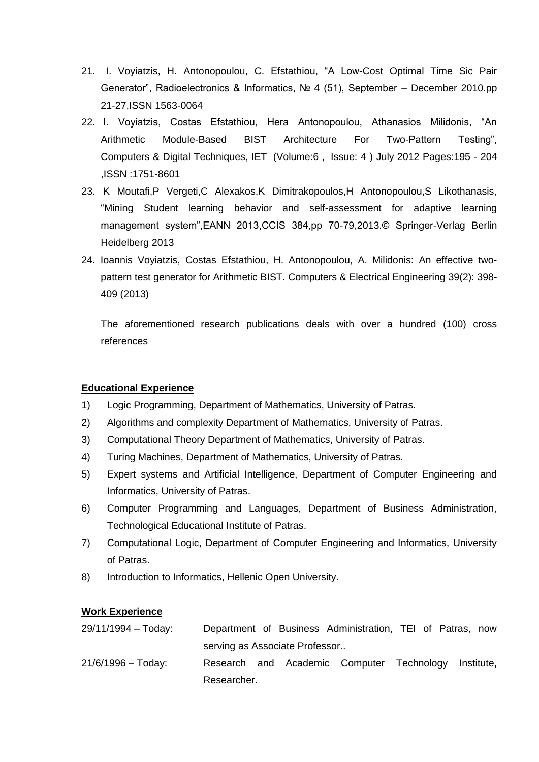- 21. I. Voyiatzis, H. Antonopoulou, C. Efstathiou, "A Low-Cost Optimal Time Sic Pair Generator", Radioelectronics & Informatics, № 4 (51), September – December 2010.pp 21-27,ISSN 1563-0064
- 22. I. Voyiatzis, Costas Efstathiou, Hera Antonopoulou, Athanasios Milidonis, "An Arithmetic Module-Based BIST Architecture For Two-Pattern Testing", [Computers & Digital Techniques, IET](http://ieeexplore.ieee.org/xpl/RecentIssue.jsp?punumber=4117424) (Volume:6 , [Issue: 4 \)](http://ieeexplore.ieee.org/xpl/tocresult.jsp?isnumber=6330953) July 2012 Pages:195 - 204 ,ISSN :1751-8601
- 23. K Moutafi,P Vergeti,C Alexakos,K Dimitrakopoulos,H Antonopoulou,S Likothanasis, "Mining Student learning behavior and self-assessment for adaptive learning management system",EANN 2013,CCIS 384.pp 70-79,2013.© Springer-Verlag Berlin Heidelberg 2013
- 24. Ioannis Voyiatzis, [Costas Efstathiou,](http://www.informatik.uni-trier.de/~%20ley/pers/hd/e/Efstathiou:Costas.html) [H. Antonopoulou,](http://www.informatik.uni-trier.de/~%20ley/pers/hd/a/Antonopoulou:H=.html) [A. Milidonis:](http://www.informatik.uni-trier.de/~%20ley/pers/hd/m/Milidonis:A=.html) An effective twopattern test generator for Arithmetic BIST. [Computers & Electrical Engineering 39\(](http://www.informatik.uni-trier.de/~%20ley/db/journals/cee/cee39.html#VoyiatzisEAM13)2): 398- 409 (2013)

The aforementioned research publications deals with over a hundred (100) cross references

## **Educational Experience**

- 1) Logic Programming, Department of Mathematics, University of Patras.
- 2) Algorithms and complexity Department of Mathematics, University of Patras.
- 3) Computational Theory Department of Mathematics, University of Patras.
- 4) Turing Machines, Department of Mathematics, University of Patras.
- 5) Expert systems and Artificial Intelligence, Department of Computer Engineering and Informatics, University of Patras.
- 6) Computer Programming and Languages, Department of Business Administration, Technological Educational Institute of Patras.
- 7) Computational Logic, Department of Computer Engineering and Informatics, University of Patras.
- 8) Introduction to Informatics, Hellenic Open University.

#### **Work Experience**

| $29/11/1994 - Today:$ |                                |  |  | Department of Business Administration, TEI of Patras, now |  |  |            |  |  |
|-----------------------|--------------------------------|--|--|-----------------------------------------------------------|--|--|------------|--|--|
|                       | serving as Associate Professor |  |  |                                                           |  |  |            |  |  |
| $21/6/1996 - Today:$  |                                |  |  | Research and Academic Computer Technology                 |  |  | Institute, |  |  |
|                       | Researcher.                    |  |  |                                                           |  |  |            |  |  |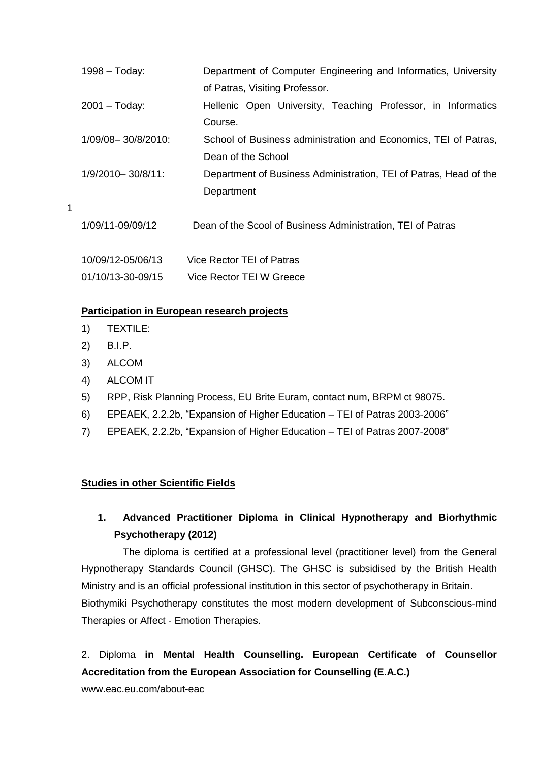| $1998 - Today:$        | Department of Computer Engineering and Informatics, University    |
|------------------------|-------------------------------------------------------------------|
|                        | of Patras, Visiting Professor.                                    |
| $2001 - Today:$        | Hellenic Open University, Teaching Professor, in Informatics      |
|                        | Course.                                                           |
| 1/09/08-30/8/2010:     | School of Business administration and Economics, TEI of Patras,   |
|                        | Dean of the School                                                |
| $1/9/2010 - 30/8/11$ : | Department of Business Administration, TEI of Patras, Head of the |
|                        | Department                                                        |
|                        |                                                                   |
| 1/09/11-09/09/12       | Dean of the Scool of Business Administration, TEI of Patras       |
|                        |                                                                   |
| 10/09/12-05/06/13      | Vice Rector TEI of Patras                                         |
| 01/10/13-30-09/15      | Vice Rector TEI W Greece                                          |

#### **Participation in European research projects**

- 1) TEXTILE:
- 2) Β.Ι.Ρ.

1

- 3) ALCOM
- 4) ALCOM IT
- 5) RPP, Risk Planning Process, EU Brite Euram, contact num, BRPM ct 98075.
- 6) EPEAEK, 2.2.2b, "Expansion of Higher Education TEI of Patras 2003-2006"
- 7) EPEAEK, 2.2.2b, "Expansion of Higher Education TEI of Patras 2007-2008"

#### **Studies in other Scientific Fields**

# **1. Advanced Practitioner Diploma in Clinical Hypnotherapy and Biorhythmic Psychotherapy (2012)**

The diploma is certified at a professional level (practitioner level) from the General Hypnotherapy Standards Council (GHSC). The GHSC is subsidised by the British Health Ministry and is an official professional institution in this sector of psychotherapy in Britain. Biothymiki Psychotherapy constitutes the most modern development of Subconscious-mind Therapies or Affect - Emotion Therapies.

2. Diploma **in Mental Health Counselling. European Certificate of Counsellor Accreditation from the European Association for Counselling (E.A.C.)**

www.eac.eu.com/about-eac